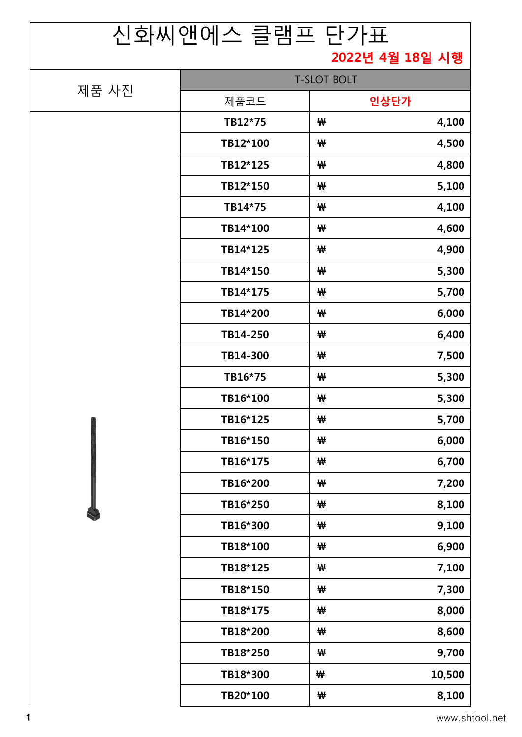## 1 www.shtool.net

|       | ㄴ∸! ´´! ㄴ ´!!ㅡㅡ ㄷ ㅁㅡ | ▁▕▁▁▘▕▏┵┷          |  |
|-------|----------------------|--------------------|--|
|       |                      | 2022년 4월 18일 시행    |  |
| 제품 사진 |                      | <b>T-SLOT BOLT</b> |  |
|       | 제품코드                 | 인상단가               |  |
|       | TB12*75              | 4,100<br>₩         |  |
|       | TB12*100             | 4,500<br>₩         |  |
|       | TB12*125             | 4,800<br>₩         |  |
|       | TB12*150             | 5,100<br>₩         |  |
|       | TB14*75              | 4,100<br>₩         |  |
|       | TB14*100             | 4,600<br>₩         |  |
|       | TB14*125             | 4,900<br>₩         |  |
|       | TB14*150             | 5,300<br>₩         |  |
|       | TB14*175             | 5,700<br>₩         |  |
|       | TB14*200             | 6,000<br>₩         |  |
|       | TB14-250             | 6,400<br>₩         |  |
|       | TB14-300             | 7,500<br>₩         |  |
|       | TB16*75              | 5,300<br>₩         |  |
|       | TB16*100             | 5,300<br>₩         |  |
|       | TB16*125             | 5,700<br>₩         |  |
|       | TB16*150             | 6,000<br>₩         |  |
|       | TB16*175             | 6,700<br>₩         |  |
|       | TB16*200             | 7,200<br>₩         |  |
|       | TB16*250             | 8,100<br>₩         |  |
|       | TB16*300             | 9,100<br>₩         |  |
|       | TB18*100             | 6,900<br>₩         |  |
|       | TB18*125             | 7,100<br>₩         |  |
|       | TB18*150             | 7,300<br>₩         |  |
|       | TB18*175             | 8,000<br>₩         |  |
|       | TB18*200             | 8,600<br>₩         |  |
|       | TB18*250             | 9,700<br>₩         |  |
|       | TB18*300             | 10,500<br>₩        |  |
|       | TB20*100             | 8,100<br>₩         |  |

## 신화씨앤에스 클램프 단가표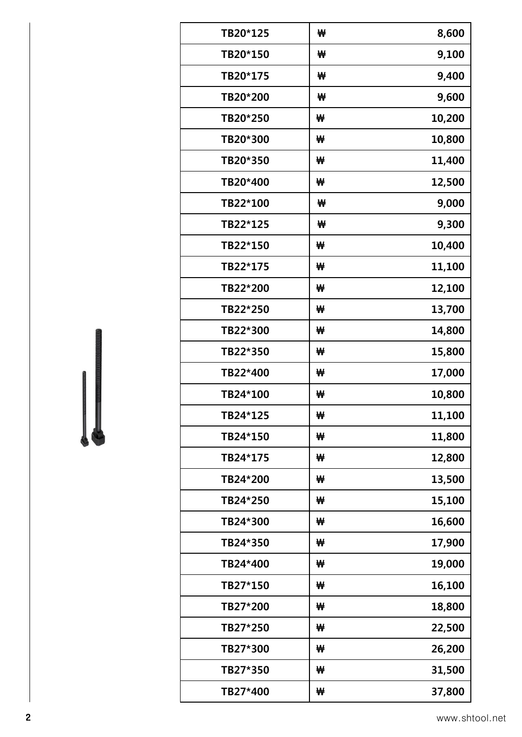| TB20*125 | ₩ | 8,600  |
|----------|---|--------|
| TB20*150 | ₩ | 9,100  |
| TB20*175 | ₩ | 9,400  |
| TB20*200 | ₩ | 9,600  |
| TB20*250 | ₩ | 10,200 |
| TB20*300 | ₩ | 10,800 |
| TB20*350 | ₩ | 11,400 |
| TB20*400 | ₩ | 12,500 |
| TB22*100 | ₩ | 9,000  |
| TB22*125 | ₩ | 9,300  |
| TB22*150 | ₩ | 10,400 |
| TB22*175 | ₩ | 11,100 |
| TB22*200 | ₩ | 12,100 |
| TB22*250 | ₩ | 13,700 |
| TB22*300 | ₩ | 14,800 |
| TB22*350 | ₩ | 15,800 |
| TB22*400 | ₩ | 17,000 |
| TB24*100 | ₩ | 10,800 |
| TB24*125 | ₩ | 11,100 |
| TB24*150 | ₩ | 11,800 |
| TB24*175 | ₩ | 12,800 |
| TB24*200 | ₩ | 13,500 |
| TB24*250 | ₩ | 15,100 |
| TB24*300 | ₩ | 16,600 |
| TB24*350 | ₩ | 17,900 |
| TB24*400 | ₩ | 19,000 |
| TB27*150 | ₩ | 16,100 |
| TB27*200 | ₩ | 18,800 |
| TB27*250 | ₩ | 22,500 |
| TB27*300 | ₩ | 26,200 |
| TB27*350 | ₩ | 31,500 |
| TB27*400 | ₩ | 37,800 |
|          |   |        |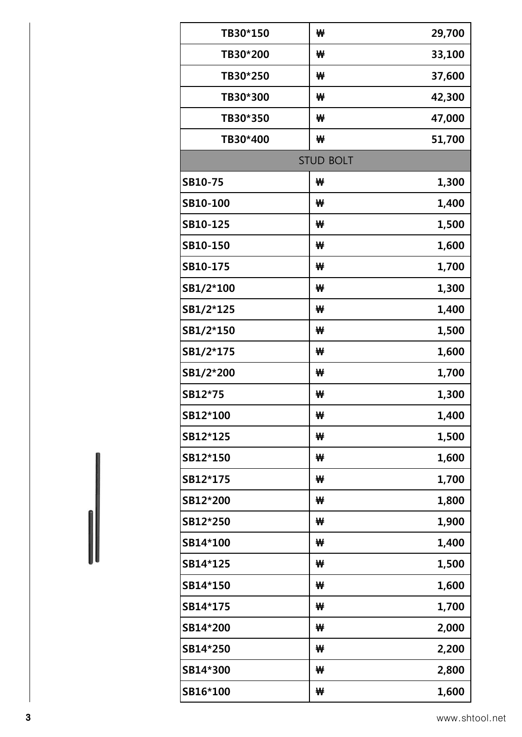| TB30*150        | ₩                | 29,700 |
|-----------------|------------------|--------|
| TB30*200        | ₩                | 33,100 |
| TB30*250        | ₩                | 37,600 |
| TB30*300        | ₩                | 42,300 |
| TB30*350        | ₩                | 47,000 |
| TB30*400        | ₩                | 51,700 |
|                 | <b>STUD BOLT</b> |        |
| SB10-75         | ₩                | 1,300  |
| SB10-100        | ₩                | 1,400  |
| SB10-125        | ₩                | 1,500  |
| SB10-150        | ₩                | 1,600  |
| SB10-175        | ₩                | 1,700  |
| SB1/2*100       | ₩                | 1,300  |
| SB1/2*125       | ₩                | 1,400  |
| SB1/2*150       | ₩                | 1,500  |
| SB1/2*175       | ₩                | 1,600  |
| SB1/2*200       | ₩                | 1,700  |
| SB12*75         | ₩                | 1,300  |
| SB12*100        | ₩                | 1,400  |
| SB12*125        | ₩                | 1,500  |
| <b>SB12*150</b> | ₩                | 1,600  |
| SB12*175        | ₩                | 1,700  |
| SB12*200        | ₩                | 1,800  |
| SB12*250        | ₩                | 1,900  |
| SB14*100        | ₩                | 1,400  |
| SB14*125        | ₩                | 1,500  |
| SB14*150        | ₩                | 1,600  |
| SB14*175        | ₩                | 1,700  |
| <b>SB14*200</b> | ₩                | 2,000  |
| <b>SB14*250</b> | ₩                | 2,200  |
| <b>SB14*300</b> | ₩                | 2,800  |
| SB16*100        | ₩                | 1,600  |
|                 |                  |        |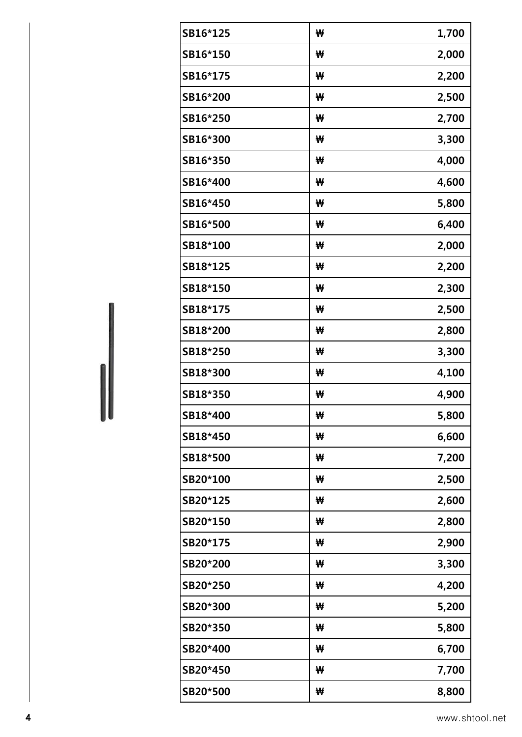| SB16*125        | ₩ | 1,700 |
|-----------------|---|-------|
| SB16*150        | ₩ | 2,000 |
| SB16*175        | ₩ | 2,200 |
| SB16*200        | ₩ | 2,500 |
| SB16*250        | ₩ | 2,700 |
| SB16*300        | ₩ | 3,300 |
| SB16*350        | ₩ | 4,000 |
| SB16*400        | ₩ | 4,600 |
| SB16*450        | ₩ | 5,800 |
| SB16*500        | ₩ | 6,400 |
| SB18*100        | ₩ | 2,000 |
| SB18*125        | ₩ | 2,200 |
| SB18*150        | ₩ | 2,300 |
| SB18*175        | ₩ | 2,500 |
| SB18*200        | ₩ | 2,800 |
| SB18*250        | ₩ | 3,300 |
| SB18*300        | ₩ | 4,100 |
| SB18*350        | ₩ | 4,900 |
| <b>SB18*400</b> | ₩ | 5,800 |
| SB18*450        | ₩ | 6,600 |
| SB18*500        | ₩ | 7,200 |
| SB20*100        | ₩ | 2,500 |
| SB20*125        | ₩ | 2,600 |
| SB20*150        | ₩ | 2,800 |
| SB20*175        | ₩ | 2,900 |
| SB20*200        | ₩ | 3,300 |
| SB20*250        | ₩ | 4,200 |
| SB20*300        | ₩ | 5,200 |
| SB20*350        | ₩ | 5,800 |
| SB20*400        | ₩ | 6,700 |
| SB20*450        | ₩ | 7,700 |
| SB20*500        | ₩ | 8,800 |
|                 |   |       |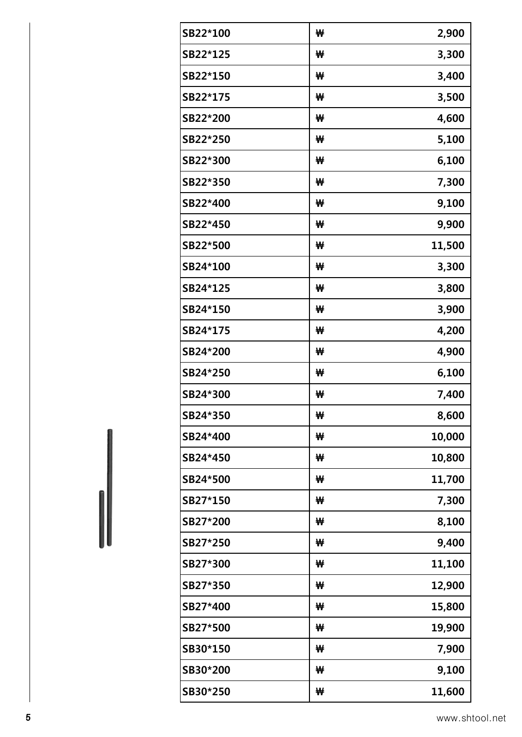| SB22*100 | ₩ | 2,900  |
|----------|---|--------|
| SB22*125 | ₩ | 3,300  |
| SB22*150 | ₩ | 3,400  |
| SB22*175 | ₩ | 3,500  |
| SB22*200 | ₩ | 4,600  |
| SB22*250 | ₩ | 5,100  |
| SB22*300 | ₩ | 6,100  |
| SB22*350 | ₩ | 7,300  |
| SB22*400 | ₩ | 9,100  |
| SB22*450 | ₩ | 9,900  |
| SB22*500 | ₩ | 11,500 |
| SB24*100 | ₩ | 3,300  |
| SB24*125 | ₩ | 3,800  |
| SB24*150 | ₩ | 3,900  |
| SB24*175 | ₩ | 4,200  |
| SB24*200 | ₩ | 4,900  |
| SB24*250 | ₩ | 6,100  |
| SB24*300 | ₩ | 7,400  |
| SB24*350 | ₩ | 8,600  |
| SB24*400 | ₩ | 10,000 |
| SB24*450 | ₩ | 10,800 |
| SB24*500 | ₩ | 11,700 |
| SB27*150 | ₩ | 7,300  |
| SB27*200 | ₩ | 8,100  |
| SB27*250 | ₩ | 9,400  |
| SB27*300 | ₩ | 11,100 |
| SB27*350 | ₩ | 12,900 |
| SB27*400 | ₩ | 15,800 |
| SB27*500 | ₩ | 19,900 |
| SB30*150 | ₩ | 7,900  |
| SB30*200 | ₩ | 9,100  |
| SB30*250 | ₩ | 11,600 |
|          |   |        |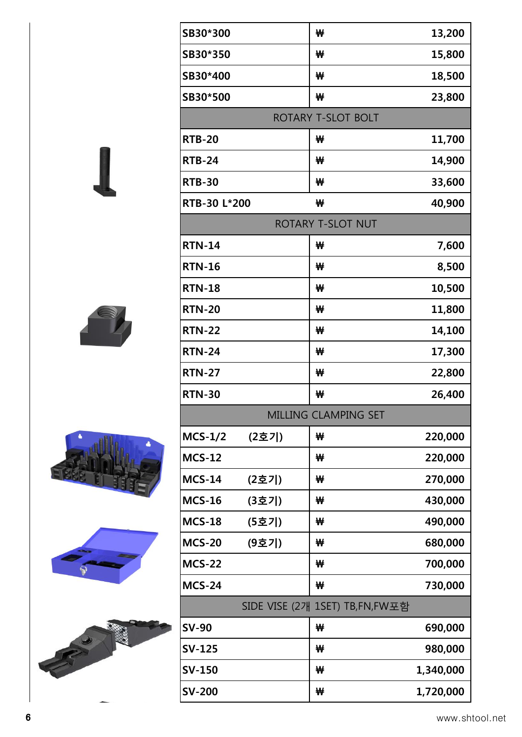| SB30*300               | ₩                              | 13,200    |
|------------------------|--------------------------------|-----------|
| SB30*350               | ₩                              | 15,800    |
| SB30*400               | ₩                              | 18,500    |
| SB30*500               | ₩                              | 23,800    |
|                        | ROTARY T-SLOT BOLT             |           |
| <b>RTB-20</b>          | ₩                              | 11,700    |
| <b>RTB-24</b>          | ₩                              | 14,900    |
| <b>RTB-30</b>          | ₩                              | 33,600    |
| RTB-30 L*200           | ₩                              | 40,900    |
|                        | ROTARY T-SLOT NUT              |           |
| <b>RTN-14</b>          | ₩                              | 7,600     |
| <b>RTN-16</b>          | ₩                              | 8,500     |
| <b>RTN-18</b>          | ₩                              | 10,500    |
| <b>RTN-20</b>          | ₩                              | 11,800    |
| <b>RTN-22</b>          | ₩                              | 14,100    |
| <b>RTN-24</b>          | ₩                              | 17,300    |
| <b>RTN-27</b>          | ₩                              | 22,800    |
| <b>RTN-30</b>          | ₩                              | 26,400    |
|                        | MILLING CLAMPING SET           |           |
| $MCS-1/2$<br>(2호기)     | ₩                              | 220,000   |
| <b>MCS-12</b>          | ₩                              | 220,000   |
| <b>MCS-14</b><br>(2호기) | ₩                              | 270,000   |
| <b>MCS-16</b><br>(3호기) | ₩                              | 430,000   |
| <b>MCS-18</b><br>(5호기) | ₩                              | 490,000   |
| <b>MCS-20</b><br>(9호기) | ₩                              | 680,000   |
| <b>MCS-22</b>          | ₩                              | 700,000   |
| <b>MCS-24</b>          | ₩                              | 730,000   |
|                        | SIDE VISE (2개 1SET) TB,FN,FW포함 |           |
| <b>SV-90</b>           | ₩                              | 690,000   |
| <b>SV-125</b>          | ₩                              | 980,000   |
| <b>SV-150</b>          | ₩                              | 1,340,000 |
| <b>SV-200</b>          | ₩                              | 1,720,000 |

Т







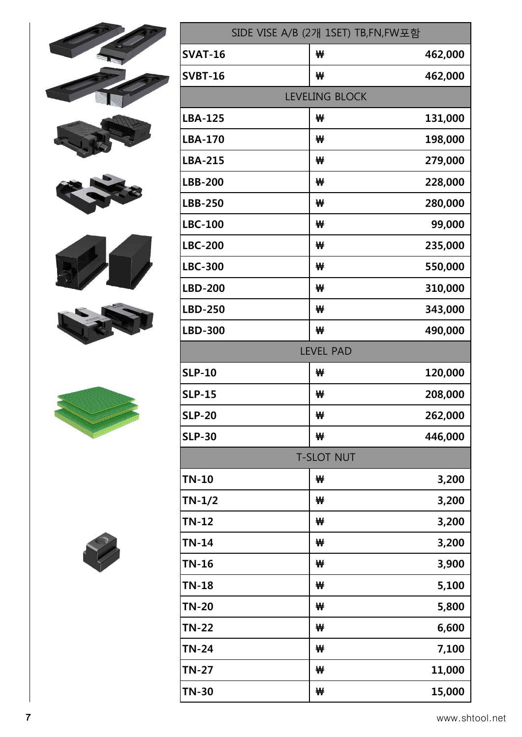| SIDE VISE A/B (2개 1SET) TB,FN,FW포함 |                   |         |
|------------------------------------|-------------------|---------|
| <b>SVAT-16</b>                     | ₩                 | 462,000 |
| <b>SVBT-16</b>                     | ₩                 | 462,000 |
|                                    | LEVELING BLOCK    |         |
| <b>LBA-125</b>                     | ₩                 | 131,000 |
| <b>LBA-170</b>                     | ₩                 | 198,000 |
| <b>LBA-215</b>                     | ₩                 | 279,000 |
| <b>LBB-200</b>                     | ₩                 | 228,000 |
| <b>LBB-250</b>                     | ₩                 | 280,000 |
| <b>LBC-100</b>                     | ₩                 | 99,000  |
| <b>LBC-200</b>                     | ₩                 | 235,000 |
| <b>LBC-300</b>                     | ₩                 | 550,000 |
| <b>LBD-200</b>                     | ₩                 | 310,000 |
| <b>LBD-250</b>                     | ₩                 | 343,000 |
| <b>LBD-300</b>                     | ₩                 | 490,000 |
|                                    | <b>LEVEL PAD</b>  |         |
| <b>SLP-10</b>                      | ₩                 | 120,000 |
| <b>SLP-15</b>                      | ₩                 | 208,000 |
| <b>SLP-20</b>                      | ₩                 | 262,000 |
| <b>SLP-30</b>                      | ₩                 | 446,000 |
|                                    | <b>T-SLOT NUT</b> |         |
| <b>TN-10</b>                       | ₩                 | 3,200   |
| $TN-1/2$                           | ₩                 | 3,200   |
| $TN-12$                            | ₩                 | 3,200   |
| $TN-14$                            | ₩                 | 3,200   |
| <b>TN-16</b>                       | ₩                 | 3,900   |
| <b>TN-18</b>                       | ₩                 | 5,100   |
| <b>TN-20</b>                       | ₩                 | 5,800   |
| <b>TN-22</b>                       | ₩                 | 6,600   |
| <b>TN-24</b>                       | ₩                 | 7,100   |
| <b>TN-27</b>                       | ₩                 | 11,000  |
| <b>TN-30</b>                       | ₩                 | 15,000  |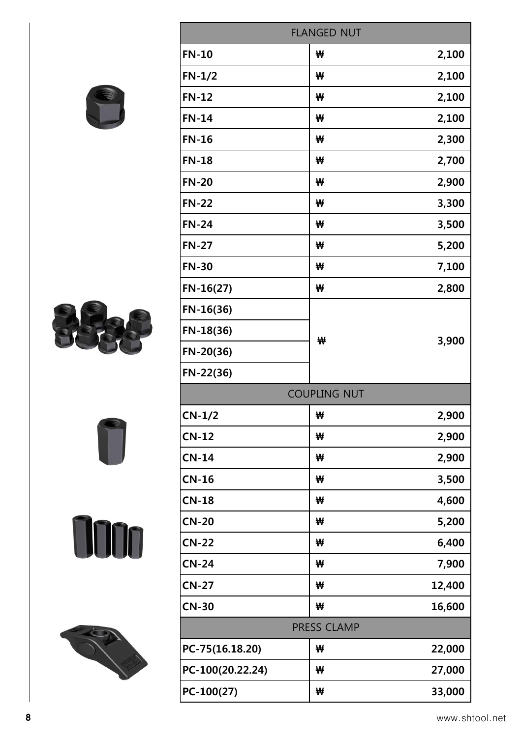|                   | <b>FLANGED NUT</b>  |        |
|-------------------|---------------------|--------|
| <b>FN-10</b>      | ₩                   | 2,100  |
| $FN-1/2$          | ₩                   | 2,100  |
| $FN-12$           | ₩                   | 2,100  |
| <b>FN-14</b>      | ₩                   | 2,100  |
| <b>FN-16</b>      | ₩                   | 2,300  |
| <b>FN-18</b>      | ₩                   | 2,700  |
| <b>FN-20</b>      | ₩                   | 2,900  |
| <b>FN-22</b>      | ₩                   | 3,300  |
| <b>FN-24</b>      | ₩                   | 3,500  |
| <b>FN-27</b>      | ₩                   | 5,200  |
| <b>FN-30</b>      | ₩                   | 7,100  |
| $FN-16(27)$       | ₩                   | 2,800  |
| $FN-16(36)$       |                     |        |
| $FN-18(36)$       |                     |        |
| $FN-20(36)$       | ₩                   | 3,900  |
| $FN-22(36)$       |                     |        |
|                   | <b>COUPLING NUT</b> |        |
| $CN-1/2$          | ₩                   | 2,900  |
| $CN-12$           | ₩                   | 2,900  |
| $CN-14$           | ₩                   | 2,900  |
| $CN-16$           | ₩                   | 3,500  |
| $CN-18$           | ₩                   | 4,600  |
| <b>CN-20</b>      | ₩                   | 5,200  |
| W<br><b>CN-22</b> | ₩                   | 6,400  |
| <b>CN-24</b>      | ₩                   | 7,900  |
| <b>CN-27</b>      | ₩                   | 12,400 |
| <b>CN-30</b>      | ₩                   | 16,600 |
|                   | PRESS CLAMP         |        |
| PC-75(16.18.20)   | ₩                   | 22,000 |
| PC-100(20.22.24)  | ₩                   | 27,000 |
| $PC-100(27)$      | ₩                   | 33,000 |









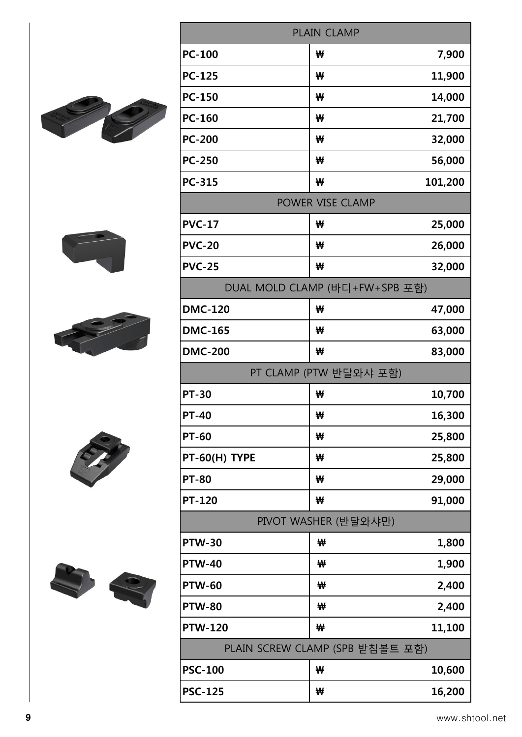|  |                        | PLAIN CLAMP                     |         |  |  |
|--|------------------------|---------------------------------|---------|--|--|
|  | <b>PC-100</b>          | ₩                               | 7,900   |  |  |
|  | <b>PC-125</b>          | ₩                               | 11,900  |  |  |
|  | <b>PC-150</b>          | ₩                               | 14,000  |  |  |
|  | <b>PC-160</b>          | ₩                               | 21,700  |  |  |
|  | <b>PC-200</b>          | ₩                               | 32,000  |  |  |
|  | <b>PC-250</b>          | ₩                               | 56,000  |  |  |
|  | <b>PC-315</b>          | ₩                               | 101,200 |  |  |
|  |                        | POWER VISE CLAMP                |         |  |  |
|  | <b>PVC-17</b>          | ₩                               | 25,000  |  |  |
|  | <b>PVC-20</b>          | ₩                               | 26,000  |  |  |
|  | <b>PVC-25</b>          | ₩                               | 32,000  |  |  |
|  |                        | DUAL MOLD CLAMP (바디+FW+SPB 포함)  |         |  |  |
|  | <b>DMC-120</b>         | ₩                               | 47,000  |  |  |
|  | <b>DMC-165</b>         | ₩                               | 63,000  |  |  |
|  | <b>DMC-200</b>         | ₩                               | 83,000  |  |  |
|  | PT CLAMP (PTW 반달와샤 포함) |                                 |         |  |  |
|  | <b>PT-30</b>           | ₩                               | 10,700  |  |  |
|  | <b>PT-40</b>           | ₩                               | 16,300  |  |  |
|  | <b>PT-60</b>           | ₩                               | 25,800  |  |  |
|  | PT-60(H) TYPE          | ₩                               | 25,800  |  |  |
|  | <b>PT-80</b>           | ₩                               | 29,000  |  |  |
|  | <b>PT-120</b>          | ₩                               | 91,000  |  |  |
|  |                        | PIVOT WASHER (반달와샤만)            |         |  |  |
|  | <b>PTW-30</b>          | ₩                               | 1,800   |  |  |
|  | <b>PTW-40</b>          | ₩                               | 1,900   |  |  |
|  | <b>PTW-60</b>          | ₩                               | 2,400   |  |  |
|  | <b>PTW-80</b>          | ₩                               | 2,400   |  |  |
|  | <b>PTW-120</b>         | ₩                               | 11,100  |  |  |
|  |                        | PLAIN SCREW CLAMP (SPB 받침볼트 포함) |         |  |  |
|  | <b>PSC-100</b>         | ₩                               | 10,600  |  |  |
|  | <b>PSC-125</b>         | ₩                               | 16,200  |  |  |

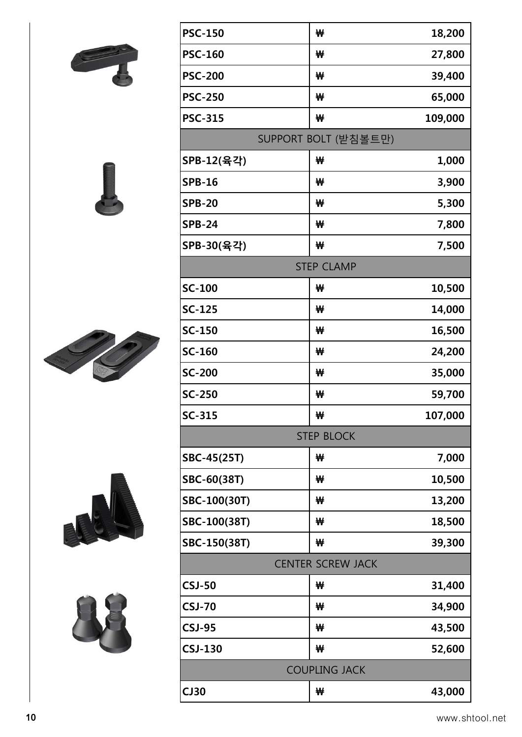

| <b>PSC-315</b> | ₩                        | 109,000 |
|----------------|--------------------------|---------|
|                | SUPPORT BOLT (받침볼트만)     |         |
| SPB-12(육각)     | ₩                        | 1,000   |
| <b>SPB-16</b>  | ₩                        | 3,900   |
| <b>SPB-20</b>  | ₩                        | 5,300   |
| <b>SPB-24</b>  | ₩                        | 7,800   |
| SPB-30(육각)     | ₩                        | 7,500   |
|                | <b>STEP CLAMP</b>        |         |
| <b>SC-100</b>  | ₩                        | 10,500  |
| <b>SC-125</b>  | ₩                        | 14,000  |
| SC-150         | ₩                        | 16,500  |
| SC-160         | ₩                        | 24,200  |
| <b>SC-200</b>  | ₩                        | 35,000  |
| <b>SC-250</b>  | ₩                        | 59,700  |
| SC-315         | ₩                        | 107,000 |
|                | <b>STEP BLOCK</b>        |         |
| SBC-45(25T)    | ₩                        | 7,000   |
| SBC-60(38T)    | ₩                        | 10,500  |
| SBC-100(30T)   | ₩                        | 13,200  |
| SBC-100(38T)   | ₩                        | 18,500  |
| SBC-150(38T)   | ₩                        | 39,300  |
|                | <b>CENTER SCREW JACK</b> |         |
| <b>CSJ-50</b>  | ₩                        | 31,400  |
| <b>CSJ-70</b>  | ₩                        | 34,900  |
| <b>CSJ-95</b>  | ₩                        | 43,500  |
| <b>CSJ-130</b> | ₩                        | 52,600  |
|                | <b>COUPLING JACK</b>     |         |

**CJ30 ₩ 43,000**

**PSC-150 ₩ 18,200**

**PSC-160 ₩ 27,800**

**PSC-200 ₩ 39,400**

**PSC-250 ₩ 65,000**







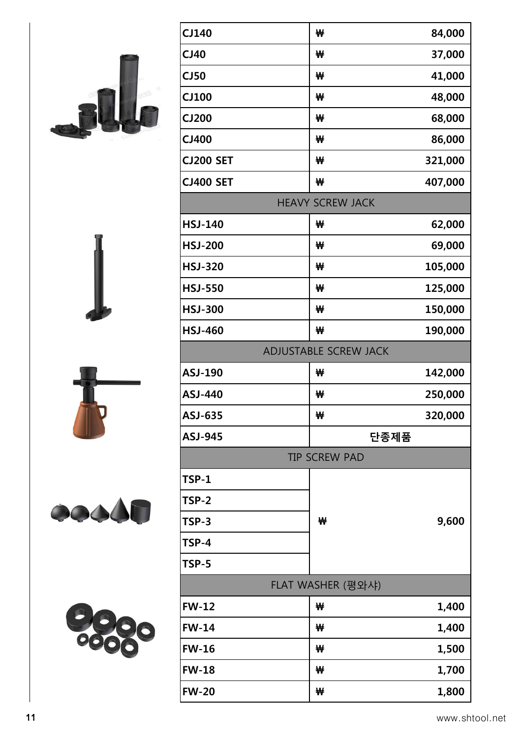|       |                | ADJUSTABLE SCREW JACK |         |
|-------|----------------|-----------------------|---------|
|       | <b>ASJ-190</b> | ₩                     | 142,000 |
|       | <b>ASJ-440</b> | ₩                     | 250,000 |
|       | ASJ-635        | ₩                     | 320,000 |
|       | <b>ASJ-945</b> |                       | 단종제품    |
|       |                | <b>TIP SCREW PAD</b>  |         |
|       | <b>TSP-1</b>   |                       |         |
|       | TSP-2          |                       |         |
| COOOL | TSP-3          | ₩                     | 9,600   |
|       | <b>TSP-4</b>   |                       |         |
|       | <b>TSP-5</b>   |                       |         |
|       |                | FLAT WASHER (평와샤)     |         |
|       | <b>FW-12</b>   | ₩                     | 1,400   |
|       | <b>FW-14</b>   | ₩                     | 1,400   |
|       | <b>FW-16</b>   | ₩                     | 1,500   |
|       | <b>FW-18</b>   | ₩                     | 1,700   |
|       | <b>FW-20</b>   | ₩                     | 1,800   |

**CJ140 ₩ 84,000**

**CJ40 ₩ 37,000**

**CJ50 ₩ 41,000**

**CJ100 ₩ 48,000**

**CJ200 ₩ 68,000**

**CJ400 ₩ 86,000**

**CJ200 SET ₩ 321,000**

**CJ400 SET ₩ 407,000**

HEAVY SCREW JACK

**HSJ-140 ₩ 62,000**

**HSJ-200 ₩ 69,000**

**HSJ-320 ₩ 105,000**

**HSJ-550 ₩ 125,000**

**HSJ-300 ₩ 150,000**

**HSJ-460 ₩ 190,000**





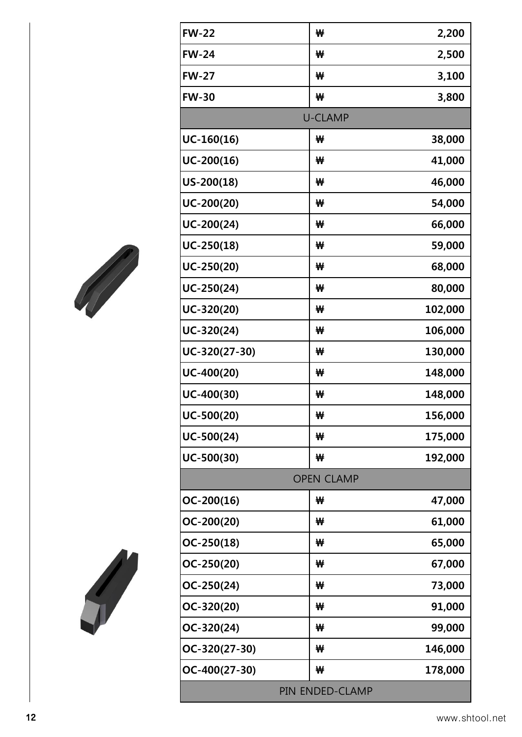| <b>FW-22</b>    | ₩                 | 2,200   |  |
|-----------------|-------------------|---------|--|
| <b>FW-24</b>    | ₩                 | 2,500   |  |
| <b>FW-27</b>    | ₩                 | 3,100   |  |
| <b>FW-30</b>    | ₩                 | 3,800   |  |
|                 | <b>U-CLAMP</b>    |         |  |
| $UC-160(16)$    | ₩                 | 38,000  |  |
| $UC-200(16)$    | ₩                 | 41,000  |  |
| $US-200(18)$    | ₩                 | 46,000  |  |
| $UC-200(20)$    | ₩                 | 54,000  |  |
| $UC-200(24)$    | ₩                 | 66,000  |  |
| $UC-250(18)$    | ₩                 | 59,000  |  |
| $UC-250(20)$    | ₩                 | 68,000  |  |
| $UC-250(24)$    | ₩                 | 80,000  |  |
| $UC-320(20)$    | ₩                 | 102,000 |  |
| $UC-320(24)$    | ₩                 | 106,000 |  |
| $UC-320(27-30)$ | ₩                 | 130,000 |  |
| $UC-400(20)$    | ₩                 | 148,000 |  |
| $UC-400(30)$    | ₩                 | 148,000 |  |
| $UC-500(20)$    | ₩                 | 156,000 |  |
| $UC-500(24)$    | ₩                 | 175,000 |  |
| $UC-500(30)$    | ₩                 | 192,000 |  |
|                 | <b>OPEN CLAMP</b> |         |  |
| $OC-200(16)$    | ₩                 | 47,000  |  |
| $OC-200(20)$    | ₩                 | 61,000  |  |
| $OC-250(18)$    | ₩                 | 65,000  |  |
| $OC-250(20)$    | ₩                 | 67,000  |  |
| $OC-250(24)$    | ₩                 | 73,000  |  |
| OC-320(20)      | ₩                 | 91,000  |  |
| OC-320(24)      | ₩                 | 99,000  |  |
| OC-320(27-30)   | ₩                 | 146,000 |  |
| OC-400(27-30)   | ₩                 | 178,000 |  |
| PIN ENDED-CLAMP |                   |         |  |
|                 |                   |         |  |



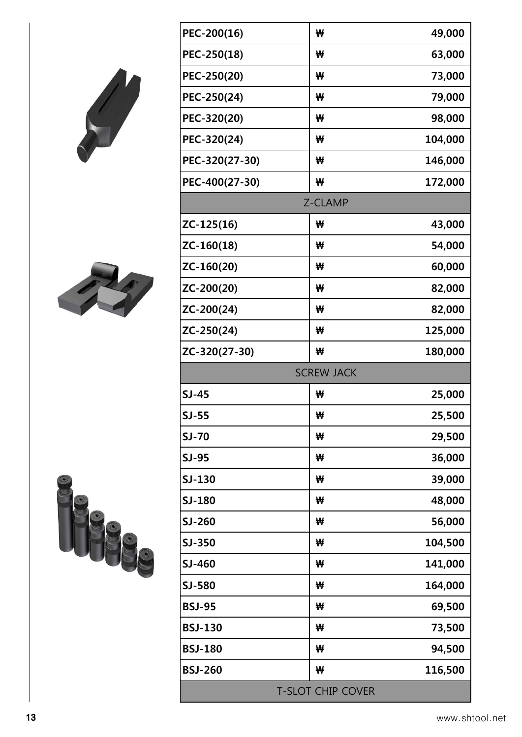| PEC-200(16)<br>49,000<br>₩<br>63,000<br>PEC-250(18)<br>₩<br>73,000<br>PEC-250(20)<br>₩<br>79,000<br>PEC-250(24)<br>₩<br>98,000<br>PEC-320(20)<br>₩<br>PEC-320(24)<br>104,000<br>₩<br>146,000<br>PEC-320(27-30)<br>₩<br>PEC-400(27-30)<br>172,000<br>₩<br>Z-CLAMP<br>ZC-125(16)<br>43,000<br>₩<br>54,000<br>ZC-160(18)<br>₩<br>60,000<br>ZC-160(20)<br>₩<br>ZC-200(20)<br>82,000<br>₩<br>ZC-200(24)<br>82,000<br>₩<br>ZC-250(24)<br>125,000<br>₩<br>ZC-320(27-30)<br>180,000<br>₩<br><b>SCREW JACK</b><br>$SJ-45$<br>₩<br>25,000<br>$SJ-55$<br>25,500<br>₩<br><b>SJ-70</b><br>29,500<br>₩<br><b>SJ-95</b><br>36,000<br>₩<br>SJ-130<br>39,000<br>₩<br>SJ-180<br>48,000<br>₩<br>SJ-260<br>56,000<br>₩<br>SJ-350<br>104,500<br>₩<br>SJ-460<br>141,000<br>₩<br>SJ-580<br>164,000<br>₩<br><b>BSJ-95</b><br>69,500<br>₩<br><b>BSJ-130</b><br>73,500<br>₩<br><b>BSJ-180</b><br>94,500<br>₩<br>116,500<br><b>BSJ-260</b><br>₩<br><b>T-SLOT CHIP COVER</b> |  |  |  |  |  |
|--------------------------------------------------------------------------------------------------------------------------------------------------------------------------------------------------------------------------------------------------------------------------------------------------------------------------------------------------------------------------------------------------------------------------------------------------------------------------------------------------------------------------------------------------------------------------------------------------------------------------------------------------------------------------------------------------------------------------------------------------------------------------------------------------------------------------------------------------------------------------------------------------------------------------------------------------|--|--|--|--|--|
|                                                                                                                                                                                                                                                                                                                                                                                                                                                                                                                                                                                                                                                                                                                                                                                                                                                                                                                                                  |  |  |  |  |  |
|                                                                                                                                                                                                                                                                                                                                                                                                                                                                                                                                                                                                                                                                                                                                                                                                                                                                                                                                                  |  |  |  |  |  |
|                                                                                                                                                                                                                                                                                                                                                                                                                                                                                                                                                                                                                                                                                                                                                                                                                                                                                                                                                  |  |  |  |  |  |
|                                                                                                                                                                                                                                                                                                                                                                                                                                                                                                                                                                                                                                                                                                                                                                                                                                                                                                                                                  |  |  |  |  |  |
|                                                                                                                                                                                                                                                                                                                                                                                                                                                                                                                                                                                                                                                                                                                                                                                                                                                                                                                                                  |  |  |  |  |  |
|                                                                                                                                                                                                                                                                                                                                                                                                                                                                                                                                                                                                                                                                                                                                                                                                                                                                                                                                                  |  |  |  |  |  |
|                                                                                                                                                                                                                                                                                                                                                                                                                                                                                                                                                                                                                                                                                                                                                                                                                                                                                                                                                  |  |  |  |  |  |
|                                                                                                                                                                                                                                                                                                                                                                                                                                                                                                                                                                                                                                                                                                                                                                                                                                                                                                                                                  |  |  |  |  |  |
|                                                                                                                                                                                                                                                                                                                                                                                                                                                                                                                                                                                                                                                                                                                                                                                                                                                                                                                                                  |  |  |  |  |  |
|                                                                                                                                                                                                                                                                                                                                                                                                                                                                                                                                                                                                                                                                                                                                                                                                                                                                                                                                                  |  |  |  |  |  |
|                                                                                                                                                                                                                                                                                                                                                                                                                                                                                                                                                                                                                                                                                                                                                                                                                                                                                                                                                  |  |  |  |  |  |
|                                                                                                                                                                                                                                                                                                                                                                                                                                                                                                                                                                                                                                                                                                                                                                                                                                                                                                                                                  |  |  |  |  |  |
|                                                                                                                                                                                                                                                                                                                                                                                                                                                                                                                                                                                                                                                                                                                                                                                                                                                                                                                                                  |  |  |  |  |  |
|                                                                                                                                                                                                                                                                                                                                                                                                                                                                                                                                                                                                                                                                                                                                                                                                                                                                                                                                                  |  |  |  |  |  |
|                                                                                                                                                                                                                                                                                                                                                                                                                                                                                                                                                                                                                                                                                                                                                                                                                                                                                                                                                  |  |  |  |  |  |
|                                                                                                                                                                                                                                                                                                                                                                                                                                                                                                                                                                                                                                                                                                                                                                                                                                                                                                                                                  |  |  |  |  |  |
|                                                                                                                                                                                                                                                                                                                                                                                                                                                                                                                                                                                                                                                                                                                                                                                                                                                                                                                                                  |  |  |  |  |  |
|                                                                                                                                                                                                                                                                                                                                                                                                                                                                                                                                                                                                                                                                                                                                                                                                                                                                                                                                                  |  |  |  |  |  |
|                                                                                                                                                                                                                                                                                                                                                                                                                                                                                                                                                                                                                                                                                                                                                                                                                                                                                                                                                  |  |  |  |  |  |
|                                                                                                                                                                                                                                                                                                                                                                                                                                                                                                                                                                                                                                                                                                                                                                                                                                                                                                                                                  |  |  |  |  |  |
|                                                                                                                                                                                                                                                                                                                                                                                                                                                                                                                                                                                                                                                                                                                                                                                                                                                                                                                                                  |  |  |  |  |  |
|                                                                                                                                                                                                                                                                                                                                                                                                                                                                                                                                                                                                                                                                                                                                                                                                                                                                                                                                                  |  |  |  |  |  |
|                                                                                                                                                                                                                                                                                                                                                                                                                                                                                                                                                                                                                                                                                                                                                                                                                                                                                                                                                  |  |  |  |  |  |
|                                                                                                                                                                                                                                                                                                                                                                                                                                                                                                                                                                                                                                                                                                                                                                                                                                                                                                                                                  |  |  |  |  |  |
|                                                                                                                                                                                                                                                                                                                                                                                                                                                                                                                                                                                                                                                                                                                                                                                                                                                                                                                                                  |  |  |  |  |  |
|                                                                                                                                                                                                                                                                                                                                                                                                                                                                                                                                                                                                                                                                                                                                                                                                                                                                                                                                                  |  |  |  |  |  |
|                                                                                                                                                                                                                                                                                                                                                                                                                                                                                                                                                                                                                                                                                                                                                                                                                                                                                                                                                  |  |  |  |  |  |
|                                                                                                                                                                                                                                                                                                                                                                                                                                                                                                                                                                                                                                                                                                                                                                                                                                                                                                                                                  |  |  |  |  |  |
|                                                                                                                                                                                                                                                                                                                                                                                                                                                                                                                                                                                                                                                                                                                                                                                                                                                                                                                                                  |  |  |  |  |  |
|                                                                                                                                                                                                                                                                                                                                                                                                                                                                                                                                                                                                                                                                                                                                                                                                                                                                                                                                                  |  |  |  |  |  |
|                                                                                                                                                                                                                                                                                                                                                                                                                                                                                                                                                                                                                                                                                                                                                                                                                                                                                                                                                  |  |  |  |  |  |
|                                                                                                                                                                                                                                                                                                                                                                                                                                                                                                                                                                                                                                                                                                                                                                                                                                                                                                                                                  |  |  |  |  |  |